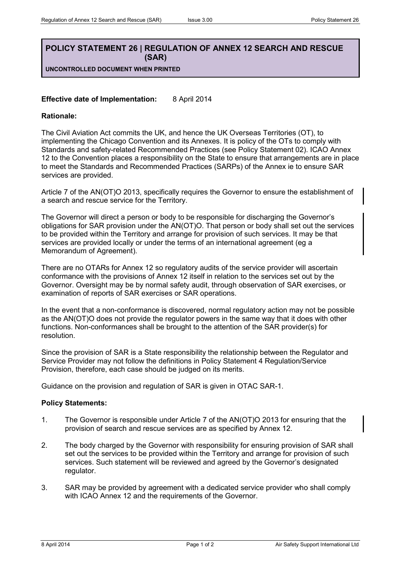## **POLICY STATEMENT 26 | REGULATION OF ANNEX 12 SEARCH AND RESCUE (SAR)**

**UNCONTROLLED DOCUMENT WHEN PRINTED**

## **Effective date of Implementation:** 8 April 2014

## **Rationale:**

The Civil Aviation Act commits the UK, and hence the UK Overseas Territories (OT), to implementing the Chicago Convention and its Annexes. It is policy of the OTs to comply with Standards and safety-related Recommended Practices (see Policy Statement 02). ICAO Annex 12 to the Convention places a responsibility on the State to ensure that arrangements are in place to meet the Standards and Recommended Practices (SARPs) of the Annex ie to ensure SAR services are provided.

Article 7 of the AN(OT)O 2013, specifically requires the Governor to ensure the establishment of a search and rescue service for the Territory.

The Governor will direct a person or body to be responsible for discharging the Governor's obligations for SAR provision under the AN(OT)O. That person or body shall set out the services to be provided within the Territory and arrange for provision of such services. It may be that services are provided locally or under the terms of an international agreement (eg a Memorandum of Agreement).

There are no OTARs for Annex 12 so regulatory audits of the service provider will ascertain conformance with the provisions of Annex 12 itself in relation to the services set out by the Governor. Oversight may be by normal safety audit, through observation of SAR exercises, or examination of reports of SAR exercises or SAR operations.

In the event that a non-conformance is discovered, normal regulatory action may not be possible as the AN(OT)O does not provide the regulator powers in the same way that it does with other functions. Non-conformances shall be brought to the attention of the SAR provider(s) for resolution.

Since the provision of SAR is a State responsibility the relationship between the Regulator and Service Provider may not follow the definitions in Policy Statement 4 Regulation/Service Provision, therefore, each case should be judged on its merits.

Guidance on the provision and regulation of SAR is given in OTAC SAR-1.

## **Policy Statements:**

- 1. The Governor is responsible under Article 7 of the AN(OT)O 2013 for ensuring that the provision of search and rescue services are as specified by Annex 12.
- 2. The body charged by the Governor with responsibility for ensuring provision of SAR shall set out the services to be provided within the Territory and arrange for provision of such services. Such statement will be reviewed and agreed by the Governor's designated regulator.
- 3. SAR may be provided by agreement with a dedicated service provider who shall comply with ICAO Annex 12 and the requirements of the Governor.